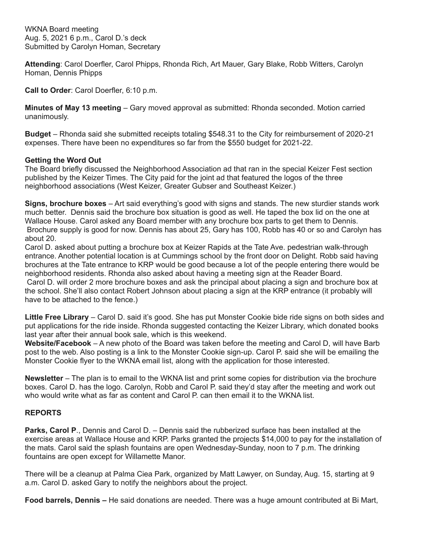WKNA Board meeting Aug. 5, 2021 6 p.m., Carol D.'s deck Submitted by Carolyn Homan, Secretary

**Attending**: Carol Doerfler, Carol Phipps, Rhonda Rich, Art Mauer, Gary Blake, Robb Witters, Carolyn Homan, Dennis Phipps

**Call to Order**: Carol Doerfler, 6:10 p.m.

**Minutes of May 13 meeting** – Gary moved approval as submitted: Rhonda seconded. Motion carried unanimously.

**Budget** – Rhonda said she submitted receipts totaling \$548.31 to the City for reimbursement of 2020-21 expenses. There have been no expenditures so far from the \$550 budget for 2021-22.

## **Getting the Word Out**

The Board briefly discussed the Neighborhood Association ad that ran in the special Keizer Fest section published by the Keizer Times. The City paid for the joint ad that featured the logos of the three neighborhood associations (West Keizer, Greater Gubser and Southeast Keizer.)

**Signs, brochure boxes** – Art said everything's good with signs and stands. The new sturdier stands work much better. Dennis said the brochure box situation is good as well. He taped the box lid on the one at Wallace House. Carol asked any Board member with any brochure box parts to get them to Dennis. Brochure supply is good for now. Dennis has about 25, Gary has 100, Robb has 40 or so and Carolyn has about 20.

Carol D. asked about putting a brochure box at Keizer Rapids at the Tate Ave. pedestrian walk-through entrance. Another potential location is at Cummings school by the front door on Delight. Robb said having brochures at the Tate entrance to KRP would be good because a lot of the people entering there would be neighborhood residents. Rhonda also asked about having a meeting sign at the Reader Board.

Carol D. will order 2 more brochure boxes and ask the principal about placing a sign and brochure box at the school. She'll also contact Robert Johnson about placing a sign at the KRP entrance (it probably will have to be attached to the fence.)

**Little Free Library** – Carol D. said it's good. She has put Monster Cookie bide ride signs on both sides and put applications for the ride inside. Rhonda suggested contacting the Keizer Library, which donated books last year after their annual book sale, which is this weekend.

**Website/Facebook** – A new photo of the Board was taken before the meeting and Carol D, will have Barb post to the web. Also posting is a link to the Monster Cookie sign-up. Carol P. said she will be emailing the Monster Cookie flyer to the WKNA email list, along with the application for those interested.

**Newsletter** – The plan is to email to the WKNA list and print some copies for distribution via the brochure boxes. Carol D. has the logo. Carolyn, Robb and Carol P. said they'd stay after the meeting and work out who would write what as far as content and Carol P. can then email it to the WKNA list.

## **REPORTS**

**Parks, Carol P**., Dennis and Carol D. – Dennis said the rubberized surface has been installed at the exercise areas at Wallace House and KRP. Parks granted the projects \$14,000 to pay for the installation of the mats. Carol said the splash fountains are open Wednesday-Sunday, noon to 7 p.m. The drinking fountains are open except for Willamette Manor.

There will be a cleanup at Palma Ciea Park, organized by Matt Lawyer, on Sunday, Aug. 15, starting at 9 a.m. Carol D. asked Gary to notify the neighbors about the project.

**Food barrels, Dennis –** He said donations are needed. There was a huge amount contributed at Bi Mart,